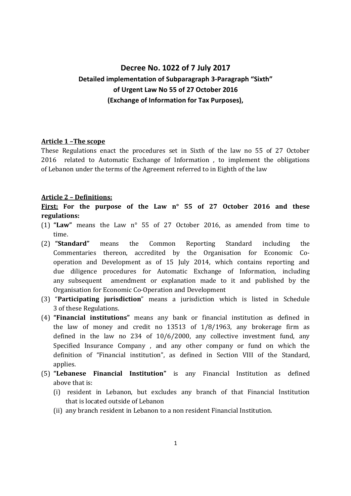# **Decree No. 1022 of 7 July 2017 Detailed implementation of Subparagraph 3-Paragraph "Sixth" of Urgent Law No 55 of 27 October 2016 (Exchange of Information for Tax Purposes),**

#### **Article 1 –The scope**

These Regulations enact the procedures set in Sixth of the law no 55 of 27 October 2016 related to Automatic Exchange of Information , to implement the obligations of Lebanon under the terms of the Agreement referred to in Eighth of the law

#### **Article 2 – Definitions:**

**First: For the purpose of the Law n° 55 of 27 October 2016 and these regulations:** 

- (1) **"Law"** means the Law n° 55 of 27 October 2016, as amended from time to time.
- (2) **"Standard"** means the Common Reporting Standard including the Commentaries thereon, accredited by the Organisation for Economic Cooperation and Development as of 15 July 2014, which contains reporting and due diligence procedures for Automatic Exchange of Information, including any subsequent amendment or explanation made to it and published by the Organisation for Economic Co-Operation and Development
- (3) "**Participating jurisdiction**" means a jurisdiction which is listed in Schedule 3 of these Regulations.
- (4) **"Financial institutions"** means any bank or financial institution as defined in the law of money and credit no 13513 of 1/8/1963, any brokerage firm as defined in the law no 234 of 10/6/2000, any collective investment fund, any Specified Insurance Company , and any other company or fund on which the definition of "Financial institution", as defined in Section VIII of the Standard, applies.
- (5) **"Lebanese Financial Institution"** is any Financial Institution as defined above that is:
	- (i) resident in Lebanon, but excludes any branch of that Financial Institution that is located outside of Lebanon
	- (ii) any branch resident in Lebanon to a non resident Financial Institution.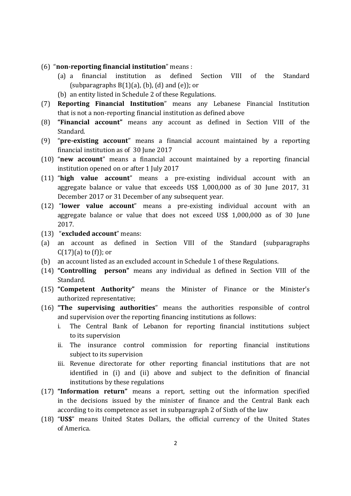- (6) "**non-reporting financial institution**" means :
	- (a) a financial institution as defined Section VIII of the Standard (subparagraphs  $B(1)(a)$ ,  $(b)$ ,  $(d)$  and  $(e)$ ); or
	- (b) an entity listed in Schedule 2 of these Regulations.
- (7) **Reporting Financial Institution**" means any Lebanese Financial Institution that is not a non-reporting financial institution as defined above
- (8) **"Financial account"** means any account as defined in Section VIII of the Standard.
- (9) "**pre-existing account**" means a financial account maintained by a reporting financial institution as of 30 June 2017
- (10) "**new account**" means a financial account maintained by a reporting financial institution opened on or after 1 July 2017
- (11) "**high value account**" means a pre-existing individual account with an aggregate balance or value that exceeds US\$ 1,000,000 as of 30 June 2017, 31 December 2017 or 31 December of any subsequent year.
- (12) "**lower value account**" means a pre-existing individual account with an aggregate balance or value that does not exceed US\$ 1,000,000 as of 30 June 2017.
- (13) "**excluded account**" means:
- (a) an account as defined in Section VIII of the Standard (subparagraphs  $C(17)(a)$  to  $(f)$ ; or
- (b) an account listed as an excluded account in Schedule 1 of these Regulations.
- (14) **"Controlling person"** means any individual as defined in Section VIII of the Standard.
- (15) **"Competent Authority"** means the Minister of Finance or the Minister's authorized representative;
- (16) **"The supervising authorities**" means the authorities responsible of control and supervision over the reporting financing institutions as follows:
	- i. The Central Bank of Lebanon for reporting financial institutions subject to its supervision
	- ii. The insurance control commission for reporting financial institutions subject to its supervision
	- iii. Revenue directorate for other reporting financial institutions that are not identified in (i) and (ii) above and subject to the definition of financial institutions by these regulations
- (17) **"Information return"** means a report, setting out the information specified in the decisions issued by the minister of finance and the Central Bank each according to its competence as set in subparagraph 2 of Sixth of the law
- (18) "**US\$**" means United States Dollars, the official currency of the United States of America.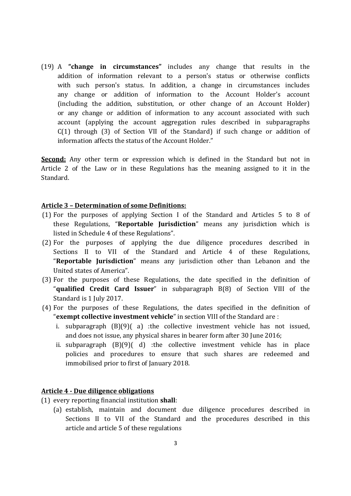(19) A **"change in circumstances"** includes any change that results in the addition of information relevant to a person's status or otherwise conflicts with such person's status. In addition, a change in circumstances includes any change or addition of information to the Account Holder's account (including the addition, substitution, or other change of an Account Holder) or any change or addition of information to any account associated with such account (applying the account aggregation rules described in subparagraphs C(1) through (3) of Section VII of the Standard) if such change or addition of information affects the status of the Account Holder."

**Second:** Any other term or expression which is defined in the Standard but not in Article 2 of the Law or in these Regulations has the meaning assigned to it in the Standard.

#### **Article 3 – Determination of some Definitions:**

- (1) For the purposes of applying Section I of the Standard and Articles 5 to 8 of these Regulations, "**Reportable Jurisdiction**" means any jurisdiction which is listed in Schedule 4 of these Regulations".
- (2) For the purposes of applying the due diligence procedures described in Sections II to VII of the Standard and Article 4 of these Regulations, "**Reportable Jurisdiction**" means any jurisdiction other than Lebanon and the United states of America".
- (3) For the purposes of these Regulations, the date specified in the definition of "**qualified Credit Card Issuer**" in subparagraph B(8) of Section VIII of the Standard is 1 July 2017.
- (4) For the purposes of these Regulations, the dates specified in the definition of "**exempt collective investment vehicle**" in section VIII of the Standard are :
	- i. subparagraph  $(B)(9)$  (a) :the collective investment vehicle has not issued, and does not issue, any physical shares in bearer form after 30 June 2016;
	- ii. subparagraph  $(B)(9)$  d) :the collective investment vehicle has in place policies and procedures to ensure that such shares are redeemed and immobilised prior to first of January 2018.

### **Article 4 - Due diligence obligations**

- (1) every reporting financial institution **shall**:
	- (a) establish, maintain and document due diligence procedures described in Sections II to VII of the Standard and the procedures described in this article and article 5 of these regulations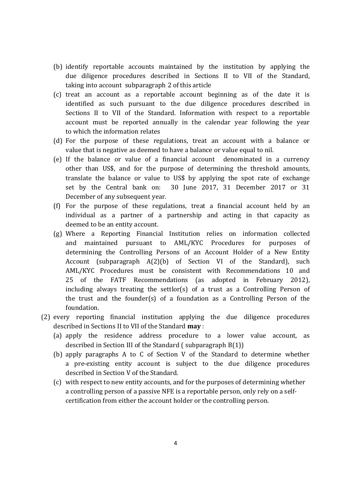- (b) identify reportable accounts maintained by the institution by applying the due diligence procedures described in Sections II to VII of the Standard, taking into account subparagraph 2 of this article
- (c) treat an account as a reportable account beginning as of the date it is identified as such pursuant to the due diligence procedures described in Sections II to VII of the Standard. Information with respect to a reportable account must be reported annually in the calendar year following the year to which the information relates
- (d) For the purpose of these regulations, treat an account with a balance or value that is negative as deemed to have a balance or value equal to nil.
- (e) If the balance or value of a financial account denominated in a currency other than US\$, and for the purpose of determining the threshold amounts, translate the balance or value to US\$ by applying the spot rate of exchange set by the Central bank on: 30 June 2017, 31 December 2017 or 31 December of any subsequent year.
- (f) For the purpose of these regulations, treat a financial account held by an individual as a partner of a partnership and acting in that capacity as deemed to be an entity account.
- (g) Where a Reporting Financial Institution relies on information collected and maintained pursuant to AML/KYC Procedures for purposes of determining the Controlling Persons of an Account Holder of a New Entity Account (subparagraph A(2)(b) of Section VI of the Standard), such AML/KYC Procedures must be consistent with Recommendations 10 and 25 of the FATF Recommendations (as adopted in February 2012), including always treating the settlor(s) of a trust as a Controlling Person of the trust and the founder(s) of a foundation as a Controlling Person of the foundation.
- (2) every reporting financial institution applying the due diligence procedures described in Sections II to VII of the Standard **may** :
	- (a) apply the residence address procedure to a lower value account, as described in Section III of the Standard ( subparagraph B(1))
	- (b) apply paragraphs A to C of Section V of the Standard to determine whether a pre-existing entity account is subject to the due diligence procedures described in Section V of the Standard.
	- (c) with respect to new entity accounts, and for the purposes of determining whether a controlling person of a passive NFE is a reportable person, only rely on a selfcertification from either the account holder or the controlling person.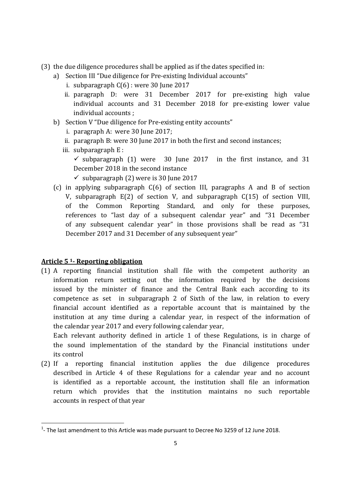- (3) the due diligence procedures shall be applied as if the dates specified in:
	- a) Section III "Due diligence for Pre-existing Individual accounts"
		- i. subparagraph  $C(6)$ : were 30 June 2017
		- ii. paragraph D: were 31 December 2017 for pre-existing high value individual accounts and 31 December 2018 for pre-existing lower value individual accounts ;
	- b) Section V "Due diligence for Pre-existing entity accounts"
		- i. paragraph A: were 30 June 2017;
		- ii. paragraph B: were 30 June 2017 in both the first and second instances;
		- iii. subparagraph E :

 $\checkmark$  subparagraph (1) were 30 June 2017 in the first instance, and 31 December 2018 in the second instance

- $\checkmark$  subparagraph (2) were is 30 June 2017
- (c) in applying subparagraph C(6) of section III, paragraphs A and B of section V, subparagraph E(2) of section V, and subparagraph C(15) of section VIII, of the Common Reporting Standard, and only for these purposes, references to "last day of a subsequent calendar year" and "31 December of any subsequent calendar year" in those provisions shall be read as "31 December 2017 and 31 December of any subsequent year"

## **Article 5 1- Reporting obligation**

<u>.</u>

(1) A reporting financial institution shall file with the competent authority an information return setting out the information required by the decisions issued by the minister of finance and the Central Bank each according to its competence as set in subparagraph 2 of Sixth of the law, in relation to every financial account identified as a reportable account that is maintained by the institution at any time during a calendar year, in respect of the information of the calendar year 2017 and every following calendar year,

Each relevant authority defined in article 1 of these Regulations, is in charge of the sound implementation of the standard by the Financial institutions under its control

(2) If a reporting financial institution applies the due diligence procedures described in Article 4 of these Regulations for a calendar year and no account is identified as a reportable account, the institution shall file an information return which provides that the institution maintains no such reportable accounts in respect of that year

 $<sup>1</sup>$ - The last amendment to this Article was made pursuant to Decree No 3259 of 12 June 2018.</sup>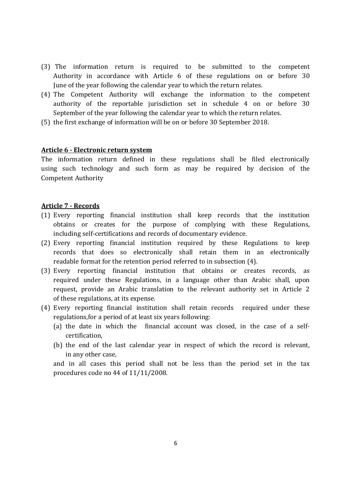- (3) The information return is required to be submitted to the competent Authority in accordance with Article 6 of these regulations on or before 30 June of the year following the calendar year to which the return relates.
- (4) The Competent Authority will exchange the information to the competent authority of the reportable jurisdiction set in schedule 4 on or before 30 September of the year following the calendar year to which the return relates.
- (5) the first exchange of information will be on or before 30 September 2018.

#### **Article 6 - Electronic return system**

The information return defined in these regulations shall be filed electronically using such technology and such form as may be required by decision of the Competent Authority

## **Article 7 - Records**

- (1) Every reporting financial institution shall keep records that the institution obtains or creates for the purpose of complying with these Regulations, including self-certifications and records of documentary evidence.
- (2) Every reporting financial institution required by these Regulations to keep records that does so electronically shall retain them in an electronically readable format for the retention period referred to in subsection (4).
- (3) Every reporting financial institution that obtains or creates records, as required under these Regulations, in a language other than Arabic shall, upon request, provide an Arabic translation to the relevant authority set in Article 2 of these regulations, at its expense.
- (4) Every reporting financial institution shall retain records required under these regulations,for a period of at least six years following:
	- (a) the date in which the financial account was closed, in the case of a selfcertification,
	- (b) the end of the last calendar year in respect of which the record is relevant, in any other case,

and in all cases this period shall not be less than the period set in the tax procedures code no 44 of 11/11/2008.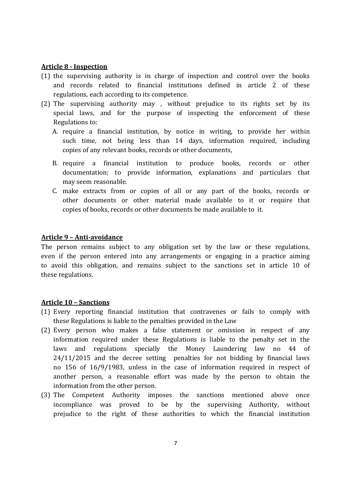#### **Article 8 - Inspection**

- (1) the supervising authority is in charge of inspection and control over the books and records related to financial institutions defined in article 2 of these regulations, each according to its competence.
- (2) The supervising authority may , without prejudice to its rights set by its special laws, and for the purpose of inspecting the enforcement of these Regulations to:
	- A. require a financial institution, by notice in writing, to provide her within such time, not being less than 14 days, information required, including copies of any relevant books, records or other documents,
	- B. require a financial institution to produce books, records or other documentation; to provide information, explanations and particulars that may seem reasonable.
	- C. make extracts from or copies of all or any part of the books, records or other documents or other material made available to it or require that copies of books, records or other documents be made available to it.

#### **Article 9 – Anti-avoidance**

The person remains subject to any obligation set by the law or these regulations, even if the person entered into any arrangements or engaging in a practice aiming to avoid this obligation, and remains subject to the sanctions set in article 10 of these regulations.

#### **Article 10 – Sanctions**

- (1) Every reporting financial institution that contravenes or fails to comply with these Regulations is liable to the penalties provided in the Law
- (2) Every person who makes a false statement or omission in respect of any information required under these Regulations is liable to the penalty set in the laws and regulations specially the Money Laundering law no 44 of 24/11/2015 and the decree setting penalties for not bidding by financial laws no 156 of 16/9/1983, unless in the case of information required in respect of another person, a reasonable effort was made by the person to obtain the information from the other person.
- (3) The Competent Authority imposes the sanctions mentioned above once incompliance was proved to be by the supervising Authority, without prejudice to the right of these authorities to which the financial institution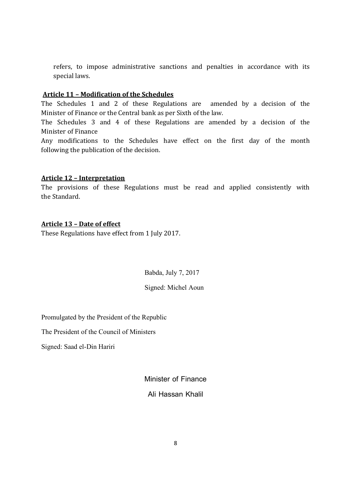refers, to impose administrative sanctions and penalties in accordance with its special laws.

### **Article 11 – Modification of the Schedules**

The Schedules 1 and 2 of these Regulations are amended by a decision of the Minister of Finance or the Central bank as per Sixth of the law.

The Schedules 3 and 4 of these Regulations are amended by a decision of the Minister of Finance

Any modifications to the Schedules have effect on the first day of the month following the publication of the decision.

### **Article 12 – Interpretation**

The provisions of these Regulations must be read and applied consistently with the Standard.

## **Article 13 – Date of effect**

These Regulations have effect from 1 July 2017.

Babda, July 7, 2017

### Signed: Michel Aoun

Promulgated by the President of the Republic

The President of the Council of Ministers

Signed: Saad el-Din Hariri

Minister of Finance

Ali Hassan Khalil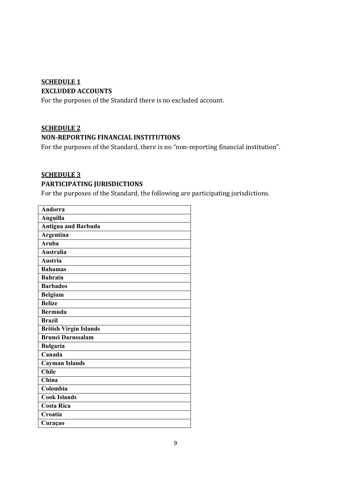## **SCHEDULE 1**

### **EXCLUDED ACCOUNTS**

For the purposes of the Standard there is no excluded account.

## **SCHEDULE 2**

#### **NON-REPORTING FINANCIAL INSTITUTIONS**

For the purposes of the Standard, there is no "non-reporting financial institution".

## **SCHEDULE 3**

## **PARTICIPATING JURISDICTIONS**

For the purposes of the Standard, the following are participating jurisdictions.

| Andorra                       |
|-------------------------------|
| <b>Anguilla</b>               |
| <b>Antigua and Barbuda</b>    |
| <b>Argentina</b>              |
| Aruba                         |
| <b>Australia</b>              |
| <b>Austria</b>                |
| <b>Bahamas</b>                |
| <b>Bahrain</b>                |
| <b>Barbados</b>               |
| <b>Belgium</b>                |
| <b>Belize</b>                 |
| <b>Bermuda</b>                |
| <b>Brazil</b>                 |
| <b>British Virgin Islands</b> |
| <b>Brunei Darussalam</b>      |
| <b>Bulgaria</b>               |
| Canada                        |
| <b>Cayman Islands</b>         |
| <b>Chile</b>                  |
| China                         |
| Colombia                      |
| <b>Cook Islands</b>           |
| <b>Costa Rica</b>             |
| Croatia                       |
| Curaçao                       |
|                               |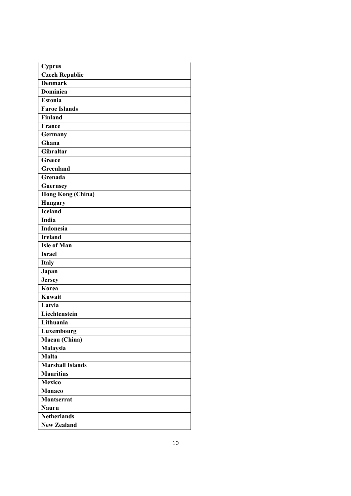| <b>Cyprus</b>            |
|--------------------------|
| <b>Czech Republic</b>    |
| <b>Denmark</b>           |
| <b>Dominica</b>          |
| <b>Estonia</b>           |
| <b>Faroe Islands</b>     |
| <b>Finland</b>           |
| <b>France</b>            |
| Germany                  |
| Ghana                    |
| <b>Gibraltar</b>         |
| Greece                   |
| <b>Greenland</b>         |
| Grenada                  |
| <b>Guernsey</b>          |
| <b>Hong Kong (China)</b> |
| <b>Hungary</b>           |
| <b>Iceland</b>           |
| <b>India</b>             |
| <b>Indonesia</b>         |
| <b>Ireland</b>           |
| <b>Isle of Man</b>       |
| <b>Israel</b>            |
| <b>Italy</b>             |
| Japan                    |
| <b>Jersey</b>            |
| Korea                    |
| Kuwait                   |
| Latvia                   |
| Liechtenstein            |
| Lithuania                |
| Luxembourg               |
| Macau (China)            |
| Malaysia                 |
| <b>Malta</b>             |
| <b>Marshall Islands</b>  |
| <b>Mauritius</b>         |
| <b>Mexico</b>            |
| <b>Monaco</b>            |
| <b>Montserrat</b>        |
| <b>Nauru</b>             |
| <b>Netherlands</b>       |
| <b>New Zealand</b>       |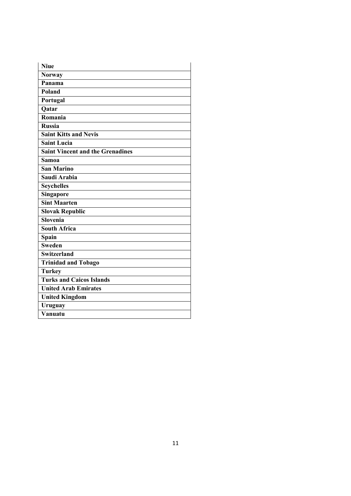| <b>Niue</b>                             |
|-----------------------------------------|
| <b>Norway</b>                           |
| Panama                                  |
| Poland                                  |
| Portugal                                |
| <b>Qatar</b>                            |
| Romania                                 |
| <b>Russia</b>                           |
| <b>Saint Kitts and Nevis</b>            |
| <b>Saint Lucia</b>                      |
| <b>Saint Vincent and the Grenadines</b> |
| Samoa                                   |
| <b>San Marino</b>                       |
| Saudi Arabia                            |
| <b>Seychelles</b>                       |
| Singapore                               |
| <b>Sint Maarten</b>                     |
| Slovak Republic                         |
| Slovenia                                |
| <b>South Africa</b>                     |
| Spain                                   |
| <b>Sweden</b>                           |
| <b>Switzerland</b>                      |
| <b>Trinidad and Tobago</b>              |
| <b>Turkey</b>                           |
| <b>Turks and Caicos Islands</b>         |
| <b>United Arab Emirates</b>             |
| <b>United Kingdom</b>                   |
| Uruguay                                 |
| Vanuatu                                 |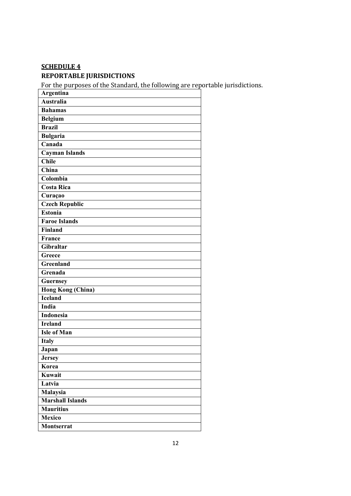# **SCHEDULE 4 REPORTABLE JURISDICTIONS**

For the purposes of the Standard, the following are reportable jurisdictions.

| Argentina                 |
|---------------------------|
| <b>Australia</b>          |
| <b>Bahamas</b>            |
| <b>Belgium</b>            |
| <b>Brazil</b>             |
| <b>Bulgaria</b>           |
| Canada                    |
| <b>Cayman Islands</b>     |
| $\overline{\text{Chile}}$ |
| China                     |
| Colombia                  |
| <b>Costa Rica</b>         |
| Curaçao                   |
| <b>Czech Republic</b>     |
| Estonia                   |
| <b>Faroe Islands</b>      |
| Finland                   |
| <b>France</b>             |
| Gibraltar                 |
| Greece                    |
| Greenland                 |
| Grenada                   |
| Guernsey                  |
| Hong Kong (China)         |
| <b>Iceland</b>            |
| India                     |
| <b>Indonesia</b>          |
| <b>Ireland</b>            |
| <b>Isle of Man</b>        |
| <b>Italy</b>              |
| Japan                     |
| <b>Jersey</b>             |
| Korea                     |
| Kuwait                    |
| Latvia                    |
| Malaysia                  |
| <b>Marshall Islands</b>   |
| <b>Mauritius</b>          |
| <b>Mexico</b>             |
| Montserrat                |